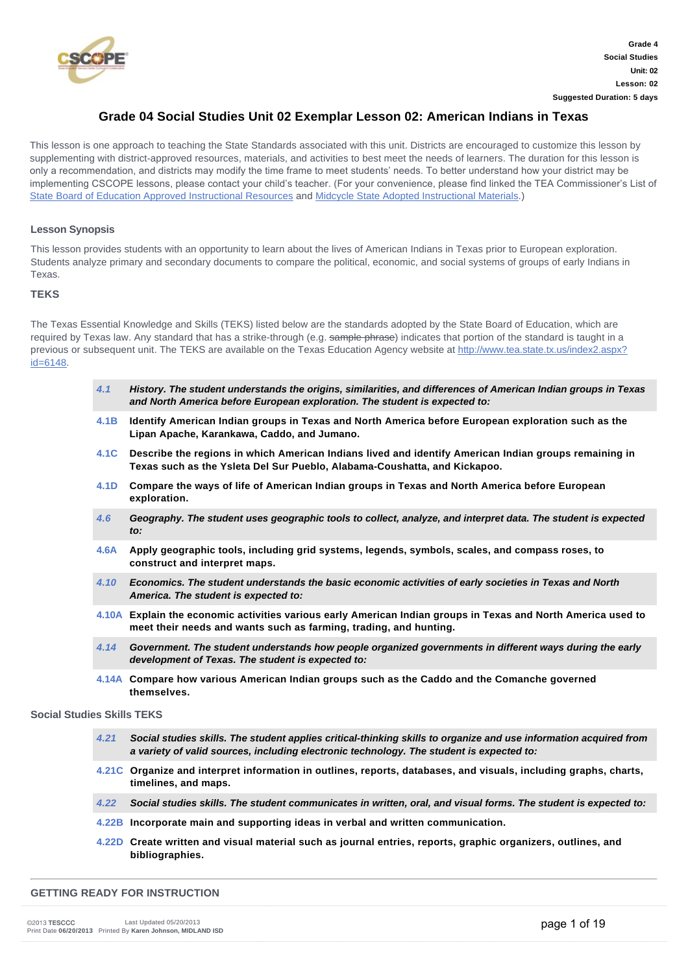

## **Grade 04 Social Studies Unit 02 Exemplar Lesson 02: American Indians in Texas**

This lesson is one approach to teaching the State Standards associated with this unit. Districts are encouraged to customize this lesson by supplementing with district-approved resources, materials, and activities to best meet the needs of learners. The duration for this lesson is only a recommendation, and districts may modify the time frame to meet students' needs. To better understand how your district may be implementing CSCOPE lessons, please contact your child's teacher. (For your convenience, please find linked the TEA Commissioner's List of [State Board of Education Approved Instructional Resources](http://www.tea.state.tx.us/WorkArea/DownloadAsset.aspx?id=2147512039) and [Midcycle State Adopted Instructional Materials](http://www.tea.state.tx.us/WorkArea/DownloadAsset.aspx?id=2147512040).)

## **Lesson Synopsis**

This lesson provides students with an opportunity to learn about the lives of American Indians in Texas prior to European exploration. Students analyze primary and secondary documents to compare the political, economic, and social systems of groups of early Indians in Texas.

## **TEKS**

The Texas Essential Knowledge and Skills (TEKS) listed below are the standards adopted by the State Board of Education, which are required by Texas law. Any standard that has a strike-through (e.g. sample phrase) indicates that portion of the standard is taught in a [previous or subsequent unit. The TEKS are available on the Texas Education Agency website at http://www.tea.state.tx.us/index2.aspx?](http://www.tea.state.tx.us/index2.aspx?id=6148) id=6148.

|                                   | 4.1  | History. The student understands the origins, similarities, and differences of American Indian groups in Texas<br>and North America before European exploration. The student is expected to:                  |
|-----------------------------------|------|---------------------------------------------------------------------------------------------------------------------------------------------------------------------------------------------------------------|
|                                   | 4.1B | Identify American Indian groups in Texas and North America before European exploration such as the<br>Lipan Apache, Karankawa, Caddo, and Jumano.                                                             |
|                                   | 4.1C | Describe the regions in which American Indians lived and identify American Indian groups remaining in<br>Texas such as the Ysleta Del Sur Pueblo, Alabama-Coushatta, and Kickapoo.                            |
|                                   | 4.1D | Compare the ways of life of American Indian groups in Texas and North America before European<br>exploration.                                                                                                 |
|                                   | 4.6  | Geography. The student uses geographic tools to collect, analyze, and interpret data. The student is expected<br>to:                                                                                          |
|                                   | 4.6A | Apply geographic tools, including grid systems, legends, symbols, scales, and compass roses, to<br>construct and interpret maps.                                                                              |
|                                   | 4.10 | Economics. The student understands the basic economic activities of early societies in Texas and North<br>America. The student is expected to:                                                                |
|                                   |      | 4.10A Explain the economic activities various early American Indian groups in Texas and North America used to<br>meet their needs and wants such as farming, trading, and hunting.                            |
|                                   | 4.14 | Government. The student understands how people organized governments in different ways during the early<br>development of Texas. The student is expected to:                                                  |
|                                   |      | 4.14A Compare how various American Indian groups such as the Caddo and the Comanche governed<br>themselves.                                                                                                   |
| <b>Social Studies Skills TEKS</b> |      |                                                                                                                                                                                                               |
|                                   | 4.21 | Social studies skills. The student applies critical-thinking skills to organize and use information acquired from<br>a variety of valid sources, including electronic technology. The student is expected to: |
|                                   |      | 4.21C Organize and interpret information in outlines, reports, databases, and visuals, including graphs, charts,<br>timelines, and maps.                                                                      |
|                                   | 4.22 | Social studies skills. The student communicates in written, oral, and visual forms. The student is expected to:                                                                                               |

- **[4.22B](about:/module/standards/Tools/Browse?StandardId=111598) Incorporate main and supporting ideas in verbal and written communication.**
- **[4.22D](about:/module/standards/Tools/Browse?StandardId=111604) Create written and visual material such as journal entries, reports, graphic organizers, outlines, and bibliographies.**

### **GETTING READY FOR INSTRUCTION**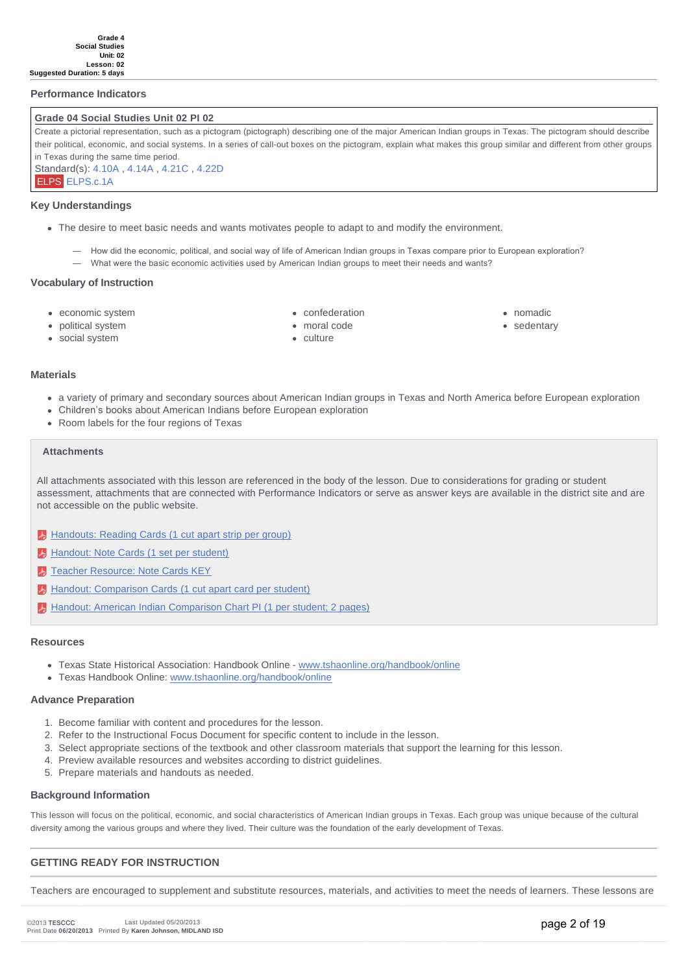### **Performance Indicators**

#### **Grade 04 Social Studies Unit 02 PI 02**

Create a pictorial representation, such as a pictogram (pictograph) describing one of the major American Indian groups in Texas. The pictogram should describe their political, economic, and social systems. In a series of call-out boxes on the pictogram, explain what makes this group similar and different from other groups in Texas during the same time period. Standard(s): [4.10A](about:/module/standards/0/111455/standard.ashx) , [4.14A](about:/module/standards/0/111502/standard.ashx) , [4.21C](about:/module/standards/0/111585/standard.ashx) , [4.22D](about:/module/standards/0/111604/standard.ashx) ELPS [ELPS.c.1A](about:/module/standards/0/118099/standard.ashx)

#### **Key Understandings**

- The desire to meet basic needs and wants motivates people to adapt to and modify the environment.
	- How did the economic, political, and social way of life of American Indian groups in Texas compare prior to European exploration? — What were the basic economic activities used by American Indian groups to meet their needs and wants?

#### **Vocabulary of Instruction**

• economic system

confederation

- nomadic
	- sedentary

political system social system

- moral code
- culture

- **Materials**
	- a variety of primary and secondary sources about American Indian groups in Texas and North America before European exploration
	- Children's books about American Indians before European exploration
	- Room labels for the four regions of Texas

## **Attachments**

All attachments associated with this lesson are referenced in the body of the lesson. Due to considerations for grading or student assessment, attachments that are connected with Performance Indicators or serve as answer keys are available in the district site and are not accessible on the public website.

- [Handouts: Reading Cards \(1 cut apart strip per group\)](http://files5.mycscope.us/191229017217072217154145183010124167183083071066/Download.ashx?hash=2.2)
- [Handout: Note Cards \(1 set per student\)](http://files5.mycscope.us/233052201145128238113006252174160246020155044176/Download.ashx?hash=2.2)
- **T** [Teacher Resource: Note Cards KEY](http://files5.mycscope.us/187087022112073065030177157200133176112086130113/Download.ashx?hash=2.2)
- [Handout: Comparison Cards \(1 cut apart card per student\)](http://files5.mycscope.us/220051058175048087165174034171202163024114110090/Download.ashx?hash=2.2)
- [Handout: American Indian Comparison Chart PI \(1 per student; 2 pages\)](http://files5.mycscope.us/075059245070250146105055011215216011247163147145/Download.ashx?hash=2.2)

#### **Resources**

- Texas State Historical Association: Handbook Online - [www.tshaonline.org/handbook/online](http://www.tshaonline.org/handbook/online)
- Texas Handbook Online: [www.tshaonline.org/handbook/online](http://www.tshaonline.org/handbook/online)

#### **Advance Preparation**

- 1. Become familiar with content and procedures for the lesson.
- 2. Refer to the Instructional Focus Document for specific content to include in the lesson.
- 3. Select appropriate sections of the textbook and other classroom materials that support the learning for this lesson.
- 4. Preview available resources and websites according to district guidelines.
- 5. Prepare materials and handouts as needed.

#### **Background Information**

This lesson will focus on the political, economic, and social characteristics of American Indian groups in Texas. Each group was unique because of the cultural diversity among the various groups and where they lived. Their culture was the foundation of the early development of Texas.

### **GETTING READY FOR INSTRUCTION**

Teachers are encouraged to supplement and substitute resources, materials, and activities to meet the needs of learners. These lessons are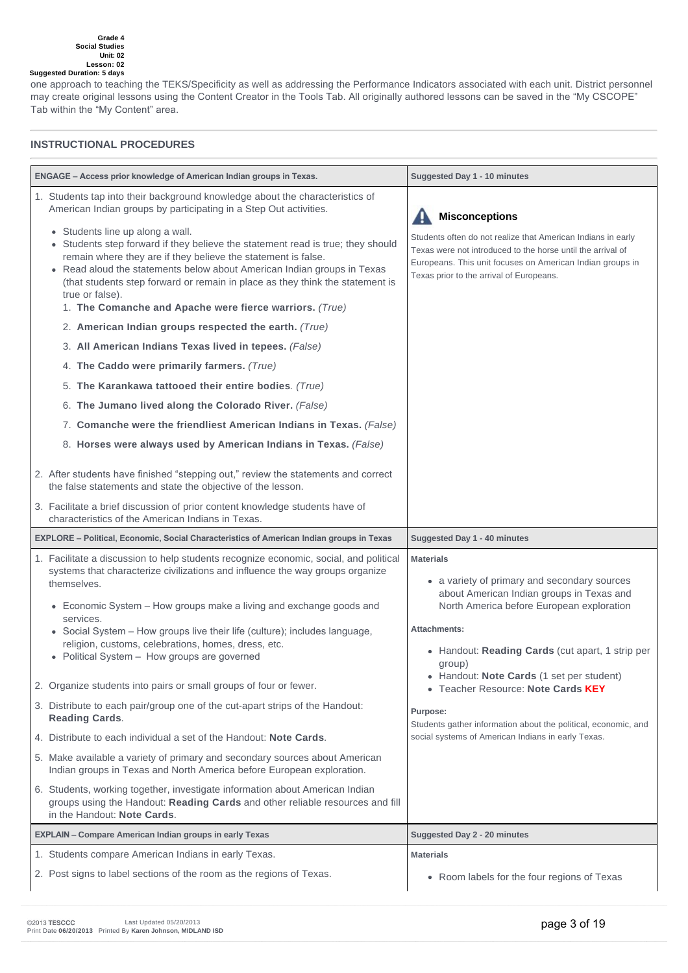one approach to teaching the TEKS/Specificity as well as addressing the Performance Indicators associated with each unit. District personnel may create original lessons using the Content Creator in the Tools Tab. All originally authored lessons can be saved in the "My CSCOPE" Tab within the "My Content" area.

## **INSTRUCTIONAL PROCEDURES**

| ENGAGE - Access prior knowledge of American Indian groups in Texas.                                                                                                                                                                                                                                                                                                                                                                                                                                                                                                                                                                                                                                                                                                                                                                                                                                                                                                                                                                                                                                                                                                    | Suggested Day 1 - 10 minutes                                                                                                                                                                                                                                                                                                                                                                                                                                    |  |
|------------------------------------------------------------------------------------------------------------------------------------------------------------------------------------------------------------------------------------------------------------------------------------------------------------------------------------------------------------------------------------------------------------------------------------------------------------------------------------------------------------------------------------------------------------------------------------------------------------------------------------------------------------------------------------------------------------------------------------------------------------------------------------------------------------------------------------------------------------------------------------------------------------------------------------------------------------------------------------------------------------------------------------------------------------------------------------------------------------------------------------------------------------------------|-----------------------------------------------------------------------------------------------------------------------------------------------------------------------------------------------------------------------------------------------------------------------------------------------------------------------------------------------------------------------------------------------------------------------------------------------------------------|--|
| 1. Students tap into their background knowledge about the characteristics of<br>American Indian groups by participating in a Step Out activities.<br>• Students line up along a wall.<br>• Students step forward if they believe the statement read is true; they should<br>remain where they are if they believe the statement is false.<br>• Read aloud the statements below about American Indian groups in Texas<br>(that students step forward or remain in place as they think the statement is<br>true or false).<br>1. The Comanche and Apache were fierce warriors. (True)<br>2. American Indian groups respected the earth. (True)<br>3. All American Indians Texas lived in tepees. (False)<br>4. The Caddo were primarily farmers. (True)<br>5. The Karankawa tattooed their entire bodies. (True)<br>6. The Jumano lived along the Colorado River. (False)<br>7. Comanche were the friendliest American Indians in Texas. (False)<br>8. Horses were always used by American Indians in Texas. (False)<br>2. After students have finished "stepping out," review the statements and correct<br>the false statements and state the objective of the lesson. | <b>Misconceptions</b><br>Students often do not realize that American Indians in early<br>Texas were not introduced to the horse until the arrival of<br>Europeans. This unit focuses on American Indian groups in<br>Texas prior to the arrival of Europeans.                                                                                                                                                                                                   |  |
| 3. Facilitate a brief discussion of prior content knowledge students have of<br>characteristics of the American Indians in Texas.                                                                                                                                                                                                                                                                                                                                                                                                                                                                                                                                                                                                                                                                                                                                                                                                                                                                                                                                                                                                                                      |                                                                                                                                                                                                                                                                                                                                                                                                                                                                 |  |
|                                                                                                                                                                                                                                                                                                                                                                                                                                                                                                                                                                                                                                                                                                                                                                                                                                                                                                                                                                                                                                                                                                                                                                        |                                                                                                                                                                                                                                                                                                                                                                                                                                                                 |  |
| EXPLORE - Political, Economic, Social Characteristics of American Indian groups in Texas                                                                                                                                                                                                                                                                                                                                                                                                                                                                                                                                                                                                                                                                                                                                                                                                                                                                                                                                                                                                                                                                               | Suggested Day 1 - 40 minutes                                                                                                                                                                                                                                                                                                                                                                                                                                    |  |
| 1. Facilitate a discussion to help students recognize economic, social, and political<br>systems that characterize civilizations and influence the way groups organize<br>themselves.<br>• Economic System - How groups make a living and exchange goods and<br>services.<br>• Social System - How groups live their life (culture); includes language,<br>religion, customs, celebrations, homes, dress, etc.<br>• Political System - How groups are governed<br>2. Organize students into pairs or small groups of four or fewer.<br>3. Distribute to each pair/group one of the cut-apart strips of the Handout:<br><b>Reading Cards.</b><br>4. Distribute to each individual a set of the Handout: Note Cards.<br>5. Make available a variety of primary and secondary sources about American<br>Indian groups in Texas and North America before European exploration.<br>6. Students, working together, investigate information about American Indian<br>groups using the Handout: Reading Cards and other reliable resources and fill<br>in the Handout: Note Cards.                                                                                             | <b>Materials</b><br>• a variety of primary and secondary sources<br>about American Indian groups in Texas and<br>North America before European exploration<br>Attachments:<br>• Handout: Reading Cards (cut apart, 1 strip per<br>group)<br>• Handout: Note Cards (1 set per student)<br>• Teacher Resource: Note Cards KEY<br>Purpose:<br>Students gather information about the political, economic, and<br>social systems of American Indians in early Texas. |  |
| <b>EXPLAIN - Compare American Indian groups in early Texas</b>                                                                                                                                                                                                                                                                                                                                                                                                                                                                                                                                                                                                                                                                                                                                                                                                                                                                                                                                                                                                                                                                                                         | Suggested Day 2 - 20 minutes                                                                                                                                                                                                                                                                                                                                                                                                                                    |  |
| 1. Students compare American Indians in early Texas.                                                                                                                                                                                                                                                                                                                                                                                                                                                                                                                                                                                                                                                                                                                                                                                                                                                                                                                                                                                                                                                                                                                   | <b>Materials</b>                                                                                                                                                                                                                                                                                                                                                                                                                                                |  |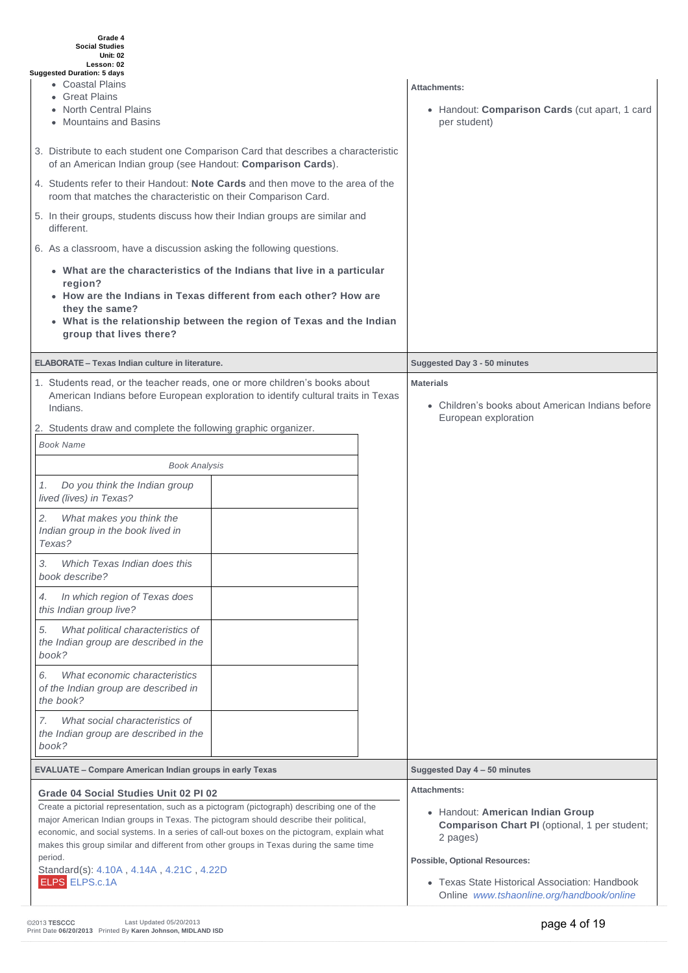| Grade 4<br><b>Social Studies</b><br><b>Unit: 02</b><br>Lesson: 02<br><b>Suggested Duration: 5 days</b><br>• Coastal Plains<br>• Great Plains<br>• North Central Plains<br>• Mountains and Basins<br>3. Distribute to each student one Comparison Card that describes a characteristic<br>of an American Indian group (see Handout: Comparison Cards).<br>4. Students refer to their Handout: <b>Note Cards</b> and then move to the area of the<br>room that matches the characteristic on their Comparison Card.<br>5. In their groups, students discuss how their Indian groups are similar and<br>different.<br>6. As a classroom, have a discussion asking the following questions.<br>• What are the characteristics of the Indians that live in a particular<br>region?<br>• How are the Indians in Texas different from each other? How are<br>they the same?<br>• What is the relationship between the region of Texas and the Indian | Attachments:<br>• Handout: Comparison Cards (cut apart, 1 card<br>per student)                |
|-----------------------------------------------------------------------------------------------------------------------------------------------------------------------------------------------------------------------------------------------------------------------------------------------------------------------------------------------------------------------------------------------------------------------------------------------------------------------------------------------------------------------------------------------------------------------------------------------------------------------------------------------------------------------------------------------------------------------------------------------------------------------------------------------------------------------------------------------------------------------------------------------------------------------------------------------|-----------------------------------------------------------------------------------------------|
| group that lives there?                                                                                                                                                                                                                                                                                                                                                                                                                                                                                                                                                                                                                                                                                                                                                                                                                                                                                                                       |                                                                                               |
| <b>ELABORATE - Texas Indian culture in literature.</b>                                                                                                                                                                                                                                                                                                                                                                                                                                                                                                                                                                                                                                                                                                                                                                                                                                                                                        | Suggested Day 3 - 50 minutes                                                                  |
| 1. Students read, or the teacher reads, one or more children's books about<br>American Indians before European exploration to identify cultural traits in Texas<br>Indians.<br>2. Students draw and complete the following graphic organizer.                                                                                                                                                                                                                                                                                                                                                                                                                                                                                                                                                                                                                                                                                                 | <b>Materials</b><br>• Children's books about American Indians before<br>European exploration  |
| <b>Book Name</b>                                                                                                                                                                                                                                                                                                                                                                                                                                                                                                                                                                                                                                                                                                                                                                                                                                                                                                                              |                                                                                               |
| <b>Book Analysis</b>                                                                                                                                                                                                                                                                                                                                                                                                                                                                                                                                                                                                                                                                                                                                                                                                                                                                                                                          |                                                                                               |
| Do you think the Indian group<br>1.<br>lived (lives) in Texas?                                                                                                                                                                                                                                                                                                                                                                                                                                                                                                                                                                                                                                                                                                                                                                                                                                                                                |                                                                                               |
| What makes you think the<br>2.<br>Indian group in the book lived in<br>Texas?                                                                                                                                                                                                                                                                                                                                                                                                                                                                                                                                                                                                                                                                                                                                                                                                                                                                 |                                                                                               |
| Which Texas Indian does this<br>3.<br>book describe?                                                                                                                                                                                                                                                                                                                                                                                                                                                                                                                                                                                                                                                                                                                                                                                                                                                                                          |                                                                                               |
| In which region of Texas does<br>4.<br>this Indian group live?                                                                                                                                                                                                                                                                                                                                                                                                                                                                                                                                                                                                                                                                                                                                                                                                                                                                                |                                                                                               |
| 5.<br>What political characteristics of<br>the Indian group are described in the<br>book?                                                                                                                                                                                                                                                                                                                                                                                                                                                                                                                                                                                                                                                                                                                                                                                                                                                     |                                                                                               |
| What economic characteristics<br>6.<br>of the Indian group are described in<br>the book?                                                                                                                                                                                                                                                                                                                                                                                                                                                                                                                                                                                                                                                                                                                                                                                                                                                      |                                                                                               |
| What social characteristics of<br>7.<br>the Indian group are described in the<br>book?                                                                                                                                                                                                                                                                                                                                                                                                                                                                                                                                                                                                                                                                                                                                                                                                                                                        |                                                                                               |
| <b>EVALUATE - Compare American Indian groups in early Texas</b>                                                                                                                                                                                                                                                                                                                                                                                                                                                                                                                                                                                                                                                                                                                                                                                                                                                                               | Suggested Day 4 - 50 minutes                                                                  |
| Grade 04 Social Studies Unit 02 PI 02                                                                                                                                                                                                                                                                                                                                                                                                                                                                                                                                                                                                                                                                                                                                                                                                                                                                                                         | Attachments:                                                                                  |
| Create a pictorial representation, such as a pictogram (pictograph) describing one of the<br>major American Indian groups in Texas. The pictogram should describe their political,<br>economic, and social systems. In a series of call-out boxes on the pictogram, explain what<br>makes this group similar and different from other groups in Texas during the same time                                                                                                                                                                                                                                                                                                                                                                                                                                                                                                                                                                    | • Handout: American Indian Group<br>Comparison Chart PI (optional, 1 per student;<br>2 pages) |
| period.<br>Standard(s): 4.10A, 4.14A, 4.21C, 4.22D                                                                                                                                                                                                                                                                                                                                                                                                                                                                                                                                                                                                                                                                                                                                                                                                                                                                                            | <b>Possible, Optional Resources:</b>                                                          |
| <b>ELPS ELPS.c.1A</b>                                                                                                                                                                                                                                                                                                                                                                                                                                                                                                                                                                                                                                                                                                                                                                                                                                                                                                                         | • Texas State Historical Association: Handbook<br>Online www.tshaonline.org/handbook/online   |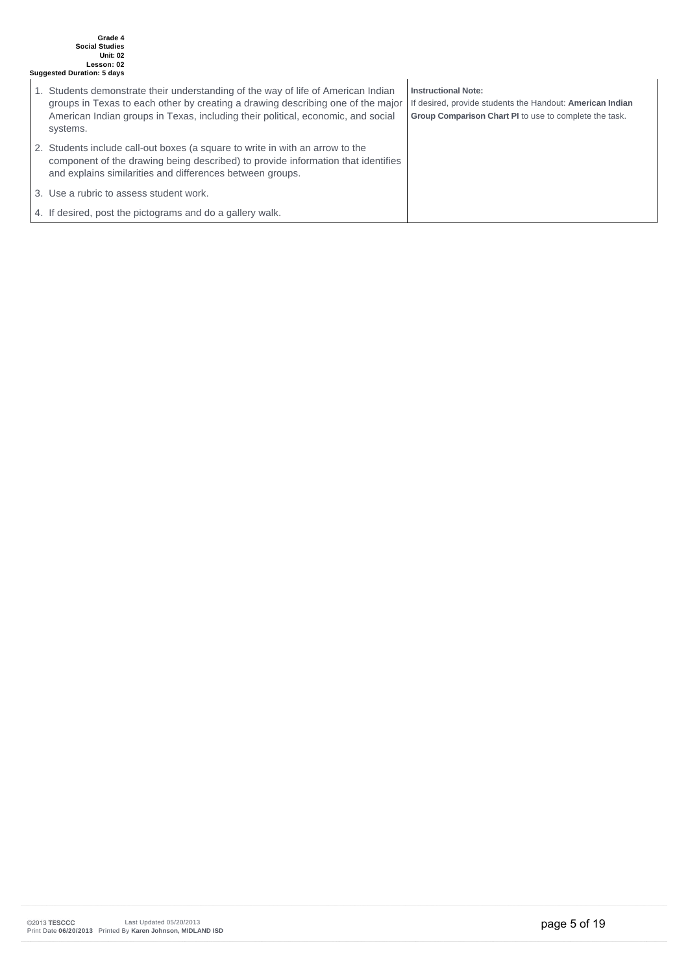#### **Grade 4 Social Studies Unit: 02 Lesson: 02 Suggested Duration: 5 days**

- 1. Students demonstrate their understanding of the way of life of American Indian groups in Texas to each other by creating a drawing describing one of the major American Indian groups in Texas, including their political, economic, and social systems. 2. Students include call-out boxes (a square to write in with an arrow to the component of the drawing being described) to provide information that identifies and explains similarities and differences between groups. **Instructional Note:** If desired, provide students the Handout: **American Indian Group Comparison Chart PI** to use to complete the task.
- 3. Use a rubric to assess student work.

4. If desired, post the pictograms and do a gallery walk.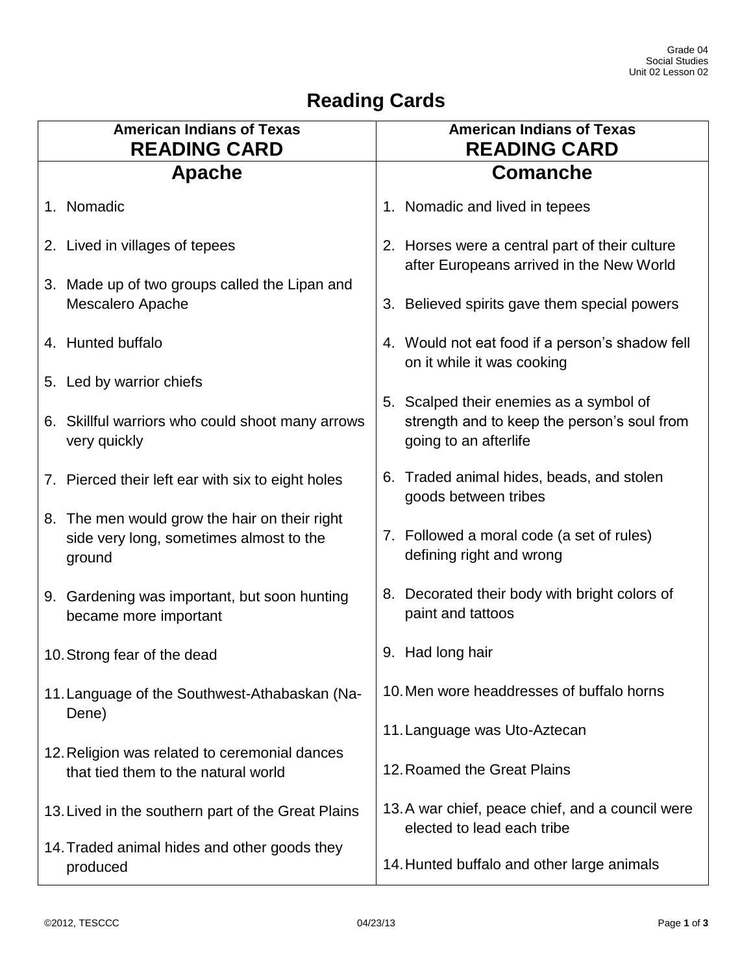# **Reading Cards**

| <b>American Indians of Texas</b><br><b>READING CARD</b>                                            | <b>American Indians of Texas</b><br><b>READING CARD</b>                                                         |  |
|----------------------------------------------------------------------------------------------------|-----------------------------------------------------------------------------------------------------------------|--|
| Apache                                                                                             | <b>Comanche</b>                                                                                                 |  |
| 1. Nomadic                                                                                         | 1. Nomadic and lived in tepees                                                                                  |  |
| 2. Lived in villages of tepees                                                                     | 2. Horses were a central part of their culture<br>after Europeans arrived in the New World                      |  |
| 3. Made up of two groups called the Lipan and<br>Mescalero Apache                                  | 3. Believed spirits gave them special powers                                                                    |  |
| 4. Hunted buffalo                                                                                  | 4. Would not eat food if a person's shadow fell<br>on it while it was cooking                                   |  |
| 5. Led by warrior chiefs                                                                           |                                                                                                                 |  |
| 6. Skillful warriors who could shoot many arrows<br>very quickly                                   | 5. Scalped their enemies as a symbol of<br>strength and to keep the person's soul from<br>going to an afterlife |  |
| 7. Pierced their left ear with six to eight holes                                                  | 6. Traded animal hides, beads, and stolen<br>goods between tribes                                               |  |
| 8. The men would grow the hair on their right<br>side very long, sometimes almost to the<br>ground | 7. Followed a moral code (a set of rules)<br>defining right and wrong                                           |  |
| 9. Gardening was important, but soon hunting<br>became more important                              | 8. Decorated their body with bright colors of<br>paint and tattoos                                              |  |
| 10. Strong fear of the dead                                                                        | 9. Had long hair                                                                                                |  |
| 11. Language of the Southwest-Athabaskan (Na-<br>Dene)                                             | 10. Men wore headdresses of buffalo horns                                                                       |  |
|                                                                                                    | 11. Language was Uto-Aztecan                                                                                    |  |
| 12. Religion was related to ceremonial dances<br>that tied them to the natural world               | 12. Roamed the Great Plains                                                                                     |  |
| 13. Lived in the southern part of the Great Plains                                                 | 13. A war chief, peace chief, and a council were<br>elected to lead each tribe                                  |  |
| 14. Traded animal hides and other goods they<br>produced                                           | 14. Hunted buffalo and other large animals                                                                      |  |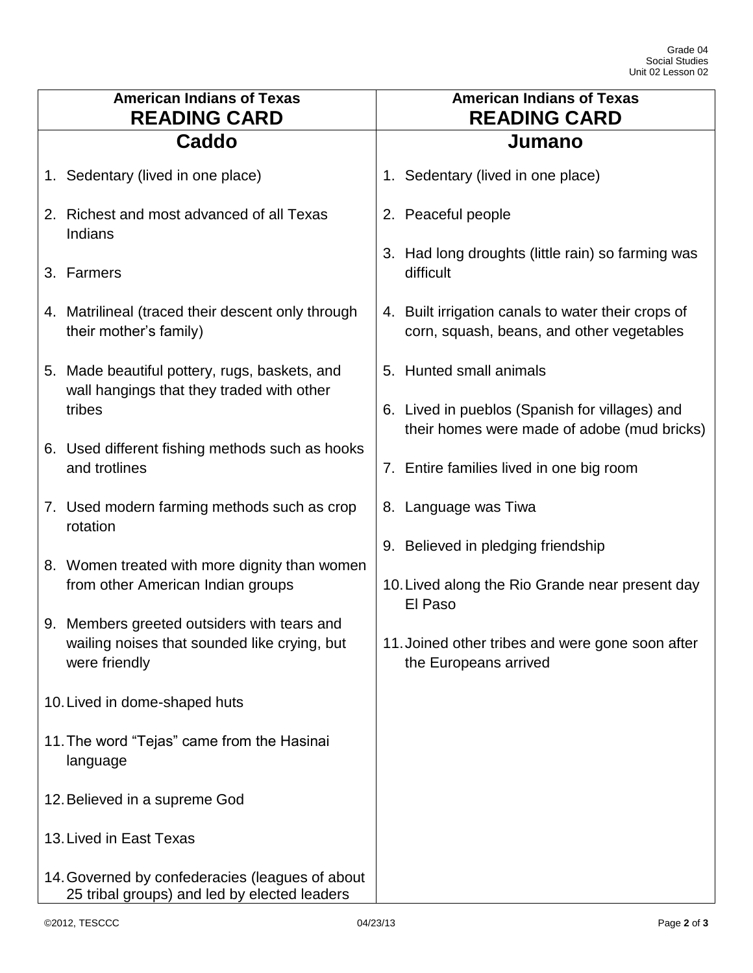| <b>American Indians of Texas</b><br><b>READING CARD</b> |                                                                                                 | <b>American Indians of Texas</b><br><b>READING CARD</b>                                         |  |
|---------------------------------------------------------|-------------------------------------------------------------------------------------------------|-------------------------------------------------------------------------------------------------|--|
|                                                         | <b>Caddo</b>                                                                                    | Jumano                                                                                          |  |
|                                                         | 1. Sedentary (lived in one place)                                                               | 1. Sedentary (lived in one place)                                                               |  |
|                                                         | 2. Richest and most advanced of all Texas<br>Indians                                            | 2. Peaceful people                                                                              |  |
|                                                         | 3. Farmers                                                                                      | 3. Had long droughts (little rain) so farming was<br>difficult                                  |  |
|                                                         | 4. Matrilineal (traced their descent only through<br>their mother's family)                     | 4. Built irrigation canals to water their crops of<br>corn, squash, beans, and other vegetables |  |
|                                                         | 5. Made beautiful pottery, rugs, baskets, and<br>wall hangings that they traded with other      | 5. Hunted small animals                                                                         |  |
|                                                         | tribes                                                                                          | 6. Lived in pueblos (Spanish for villages) and<br>their homes were made of adobe (mud bricks)   |  |
|                                                         | 6. Used different fishing methods such as hooks<br>and trotlines                                | 7. Entire families lived in one big room                                                        |  |
|                                                         | 7. Used modern farming methods such as crop<br>rotation                                         | 8. Language was Tiwa                                                                            |  |
|                                                         |                                                                                                 | 9. Believed in pledging friendship                                                              |  |
|                                                         | 8. Women treated with more dignity than women<br>from other American Indian groups              | 10. Lived along the Rio Grande near present day<br>El Paso                                      |  |
|                                                         | 9. Members greeted outsiders with tears and                                                     |                                                                                                 |  |
|                                                         | wailing noises that sounded like crying, but<br>were friendly                                   | 11. Joined other tribes and were gone soon after<br>the Europeans arrived                       |  |
|                                                         | 10. Lived in dome-shaped huts                                                                   |                                                                                                 |  |
|                                                         | 11. The word "Tejas" came from the Hasinai<br>language                                          |                                                                                                 |  |
| 12. Believed in a supreme God                           |                                                                                                 |                                                                                                 |  |
|                                                         | 13. Lived in East Texas                                                                         |                                                                                                 |  |
|                                                         | 14. Governed by confederacies (leagues of about<br>25 tribal groups) and led by elected leaders |                                                                                                 |  |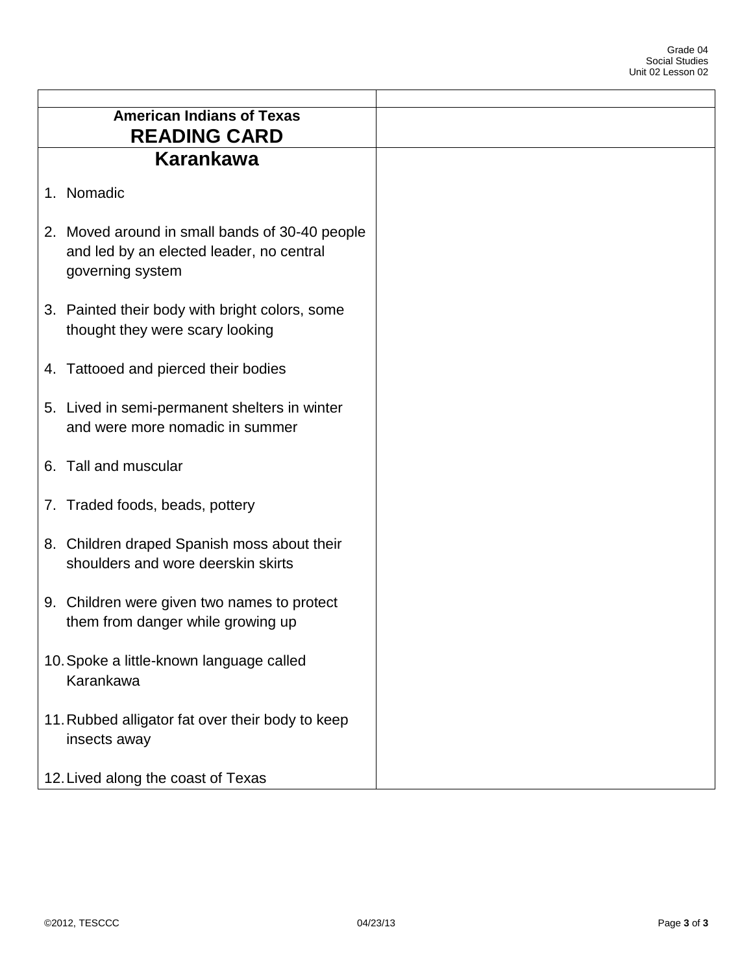| <b>American Indians of Texas</b><br><b>READING CARD</b>                                                        |
|----------------------------------------------------------------------------------------------------------------|
| Karankawa                                                                                                      |
| 1. Nomadic                                                                                                     |
| 2. Moved around in small bands of 30-40 people<br>and led by an elected leader, no central<br>governing system |
| 3. Painted their body with bright colors, some<br>thought they were scary looking                              |
| 4. Tattooed and pierced their bodies                                                                           |
| 5. Lived in semi-permanent shelters in winter<br>and were more nomadic in summer                               |
| 6. Tall and muscular                                                                                           |
| 7. Traded foods, beads, pottery                                                                                |
| 8. Children draped Spanish moss about their<br>shoulders and wore deerskin skirts                              |
| 9. Children were given two names to protect<br>them from danger while growing up                               |
| 10. Spoke a little-known language called<br>Karankawa                                                          |
| 11. Rubbed alligator fat over their body to keep<br>insects away                                               |
| 12. Lived along the coast of Texas                                                                             |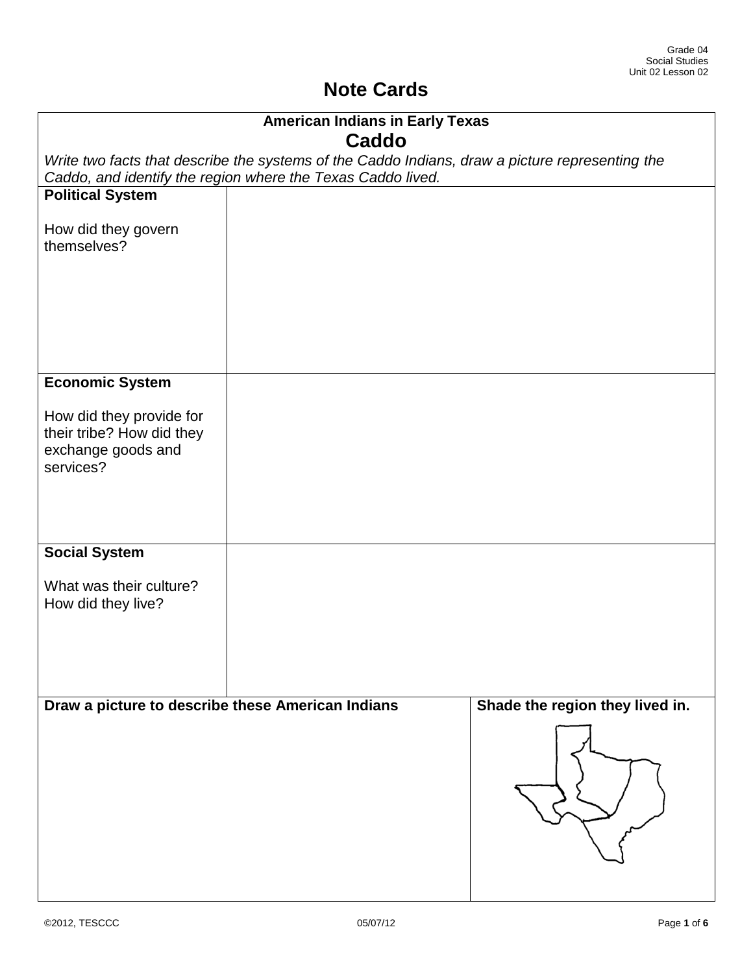## **Note Cards**

| <b>American Indians in Early Texas</b>                |                                                                                                 |                                 |  |  |
|-------------------------------------------------------|-------------------------------------------------------------------------------------------------|---------------------------------|--|--|
|                                                       | <b>Caddo</b>                                                                                    |                                 |  |  |
|                                                       | Write two facts that describe the systems of the Caddo Indians, draw a picture representing the |                                 |  |  |
|                                                       | Caddo, and identify the region where the Texas Caddo lived.                                     |                                 |  |  |
| <b>Political System</b>                               |                                                                                                 |                                 |  |  |
| How did they govern                                   |                                                                                                 |                                 |  |  |
| themselves?                                           |                                                                                                 |                                 |  |  |
|                                                       |                                                                                                 |                                 |  |  |
|                                                       |                                                                                                 |                                 |  |  |
|                                                       |                                                                                                 |                                 |  |  |
|                                                       |                                                                                                 |                                 |  |  |
|                                                       |                                                                                                 |                                 |  |  |
| <b>Economic System</b>                                |                                                                                                 |                                 |  |  |
|                                                       |                                                                                                 |                                 |  |  |
| How did they provide for<br>their tribe? How did they |                                                                                                 |                                 |  |  |
| exchange goods and                                    |                                                                                                 |                                 |  |  |
| services?                                             |                                                                                                 |                                 |  |  |
|                                                       |                                                                                                 |                                 |  |  |
|                                                       |                                                                                                 |                                 |  |  |
|                                                       |                                                                                                 |                                 |  |  |
| <b>Social System</b>                                  |                                                                                                 |                                 |  |  |
| What was their culture?                               |                                                                                                 |                                 |  |  |
| How did they live?                                    |                                                                                                 |                                 |  |  |
|                                                       |                                                                                                 |                                 |  |  |
|                                                       |                                                                                                 |                                 |  |  |
|                                                       |                                                                                                 |                                 |  |  |
|                                                       |                                                                                                 |                                 |  |  |
| Draw a picture to describe these American Indians     |                                                                                                 | Shade the region they lived in. |  |  |
|                                                       |                                                                                                 |                                 |  |  |
|                                                       |                                                                                                 |                                 |  |  |
|                                                       |                                                                                                 |                                 |  |  |
|                                                       |                                                                                                 |                                 |  |  |
|                                                       |                                                                                                 |                                 |  |  |
|                                                       |                                                                                                 |                                 |  |  |
|                                                       |                                                                                                 |                                 |  |  |
|                                                       |                                                                                                 |                                 |  |  |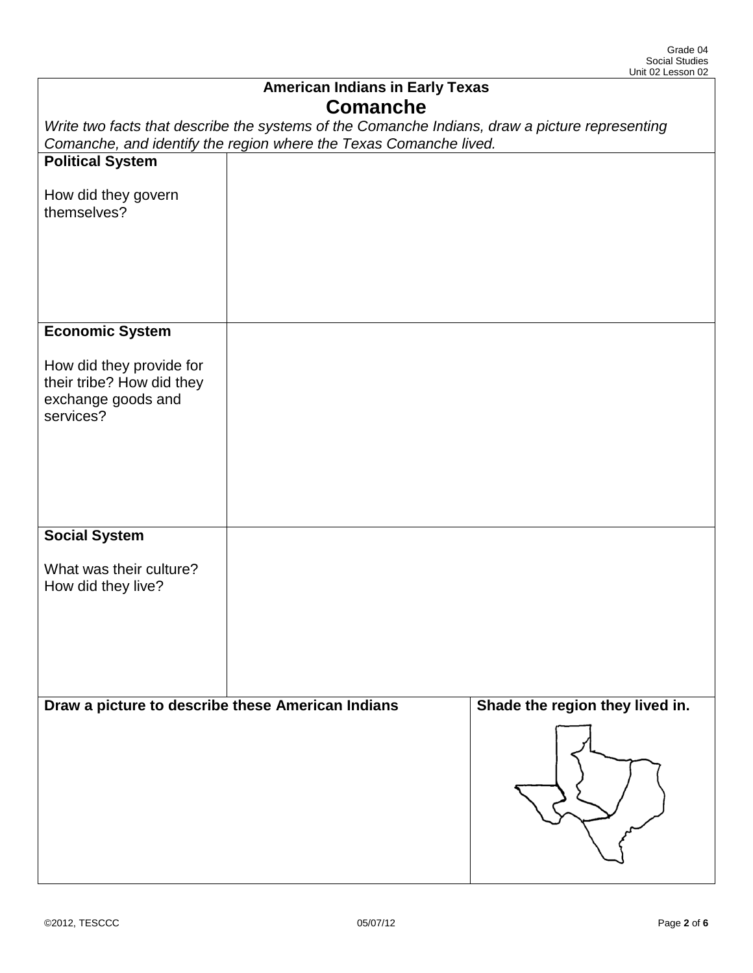| <b>American Indians in Early Texas</b><br><b>Comanche</b>                                                                                                           |  |                                 |  |
|---------------------------------------------------------------------------------------------------------------------------------------------------------------------|--|---------------------------------|--|
| Write two facts that describe the systems of the Comanche Indians, draw a picture representing<br>Comanche, and identify the region where the Texas Comanche lived. |  |                                 |  |
|                                                                                                                                                                     |  |                                 |  |
| <b>Political System</b>                                                                                                                                             |  |                                 |  |
| How did they govern<br>themselves?                                                                                                                                  |  |                                 |  |
|                                                                                                                                                                     |  |                                 |  |
| <b>Economic System</b>                                                                                                                                              |  |                                 |  |
| How did they provide for<br>their tribe? How did they<br>exchange goods and<br>services?                                                                            |  |                                 |  |
| <b>Social System</b>                                                                                                                                                |  |                                 |  |
| What was their culture?<br>How did they live?                                                                                                                       |  |                                 |  |
| Draw a picture to describe these American Indians                                                                                                                   |  | Shade the region they lived in. |  |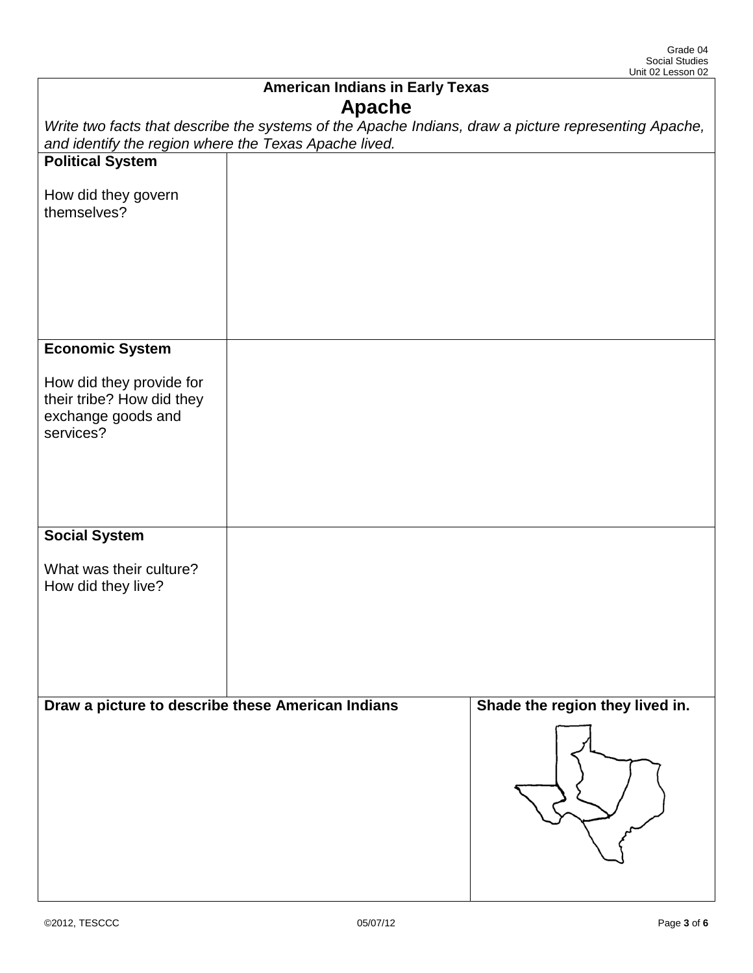| <b>American Indians in Early Texas</b>                                                                                                                        |  |                                 |  |
|---------------------------------------------------------------------------------------------------------------------------------------------------------------|--|---------------------------------|--|
| <b>Apache</b>                                                                                                                                                 |  |                                 |  |
| Write two facts that describe the systems of the Apache Indians, draw a picture representing Apache,<br>and identify the region where the Texas Apache lived. |  |                                 |  |
| <b>Political System</b>                                                                                                                                       |  |                                 |  |
| How did they govern<br>themselves?                                                                                                                            |  |                                 |  |
|                                                                                                                                                               |  |                                 |  |
| <b>Economic System</b>                                                                                                                                        |  |                                 |  |
| How did they provide for<br>their tribe? How did they<br>exchange goods and<br>services?                                                                      |  |                                 |  |
| <b>Social System</b>                                                                                                                                          |  |                                 |  |
| What was their culture?<br>How did they live?                                                                                                                 |  |                                 |  |
| Draw a picture to describe these American Indians                                                                                                             |  | Shade the region they lived in. |  |
|                                                                                                                                                               |  |                                 |  |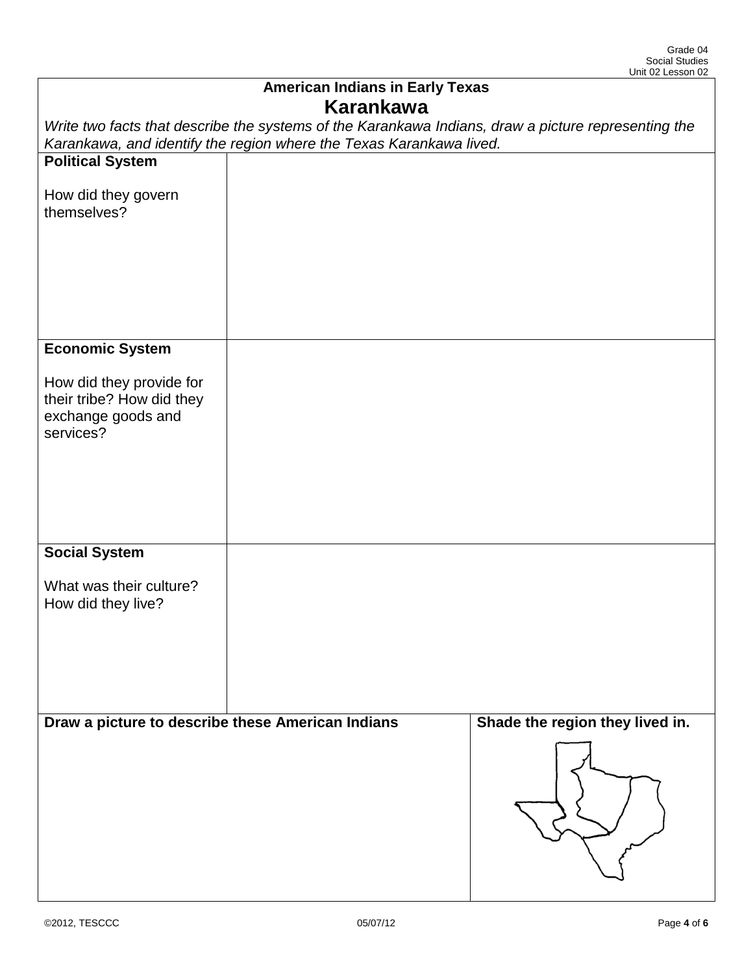| <b>American Indians in Early Texas</b><br><b>Karankawa</b>                                          |                                                                     |                                 |  |
|-----------------------------------------------------------------------------------------------------|---------------------------------------------------------------------|---------------------------------|--|
| Write two facts that describe the systems of the Karankawa Indians, draw a picture representing the |                                                                     |                                 |  |
|                                                                                                     | Karankawa, and identify the region where the Texas Karankawa lived. |                                 |  |
| <b>Political System</b>                                                                             |                                                                     |                                 |  |
| How did they govern                                                                                 |                                                                     |                                 |  |
| themselves?                                                                                         |                                                                     |                                 |  |
|                                                                                                     |                                                                     |                                 |  |
|                                                                                                     |                                                                     |                                 |  |
|                                                                                                     |                                                                     |                                 |  |
|                                                                                                     |                                                                     |                                 |  |
| <b>Economic System</b>                                                                              |                                                                     |                                 |  |
| How did they provide for<br>their tribe? How did they<br>exchange goods and<br>services?            |                                                                     |                                 |  |
|                                                                                                     |                                                                     |                                 |  |
|                                                                                                     |                                                                     |                                 |  |
|                                                                                                     |                                                                     |                                 |  |
| <b>Social System</b>                                                                                |                                                                     |                                 |  |
| What was their culture?<br>How did they live?                                                       |                                                                     |                                 |  |
|                                                                                                     |                                                                     |                                 |  |
|                                                                                                     |                                                                     |                                 |  |
|                                                                                                     |                                                                     |                                 |  |
| Draw a picture to describe these American Indians                                                   |                                                                     | Shade the region they lived in. |  |
|                                                                                                     |                                                                     |                                 |  |
|                                                                                                     |                                                                     |                                 |  |
|                                                                                                     |                                                                     |                                 |  |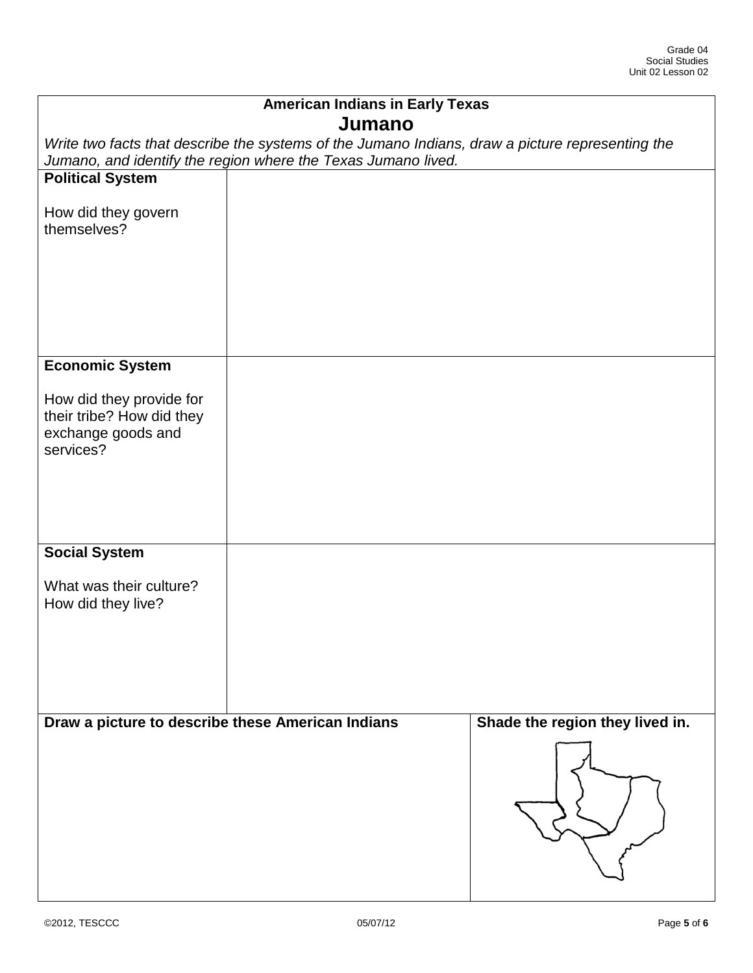| <b>American Indians in Early Texas</b>                                                                                                                            |  |                                 |  |
|-------------------------------------------------------------------------------------------------------------------------------------------------------------------|--|---------------------------------|--|
| Jumano                                                                                                                                                            |  |                                 |  |
| Write two facts that describe the systems of the Jumano Indians, draw a picture representing the<br>Jumano, and identify the region where the Texas Jumano lived. |  |                                 |  |
| <b>Political System</b>                                                                                                                                           |  |                                 |  |
| How did they govern<br>themselves?                                                                                                                                |  |                                 |  |
|                                                                                                                                                                   |  |                                 |  |
| <b>Economic System</b>                                                                                                                                            |  |                                 |  |
| How did they provide for<br>their tribe? How did they<br>exchange goods and<br>services?                                                                          |  |                                 |  |
| <b>Social System</b>                                                                                                                                              |  |                                 |  |
| What was their culture?<br>How did they live?                                                                                                                     |  |                                 |  |
| Draw a picture to describe these American Indians                                                                                                                 |  | Shade the region they lived in. |  |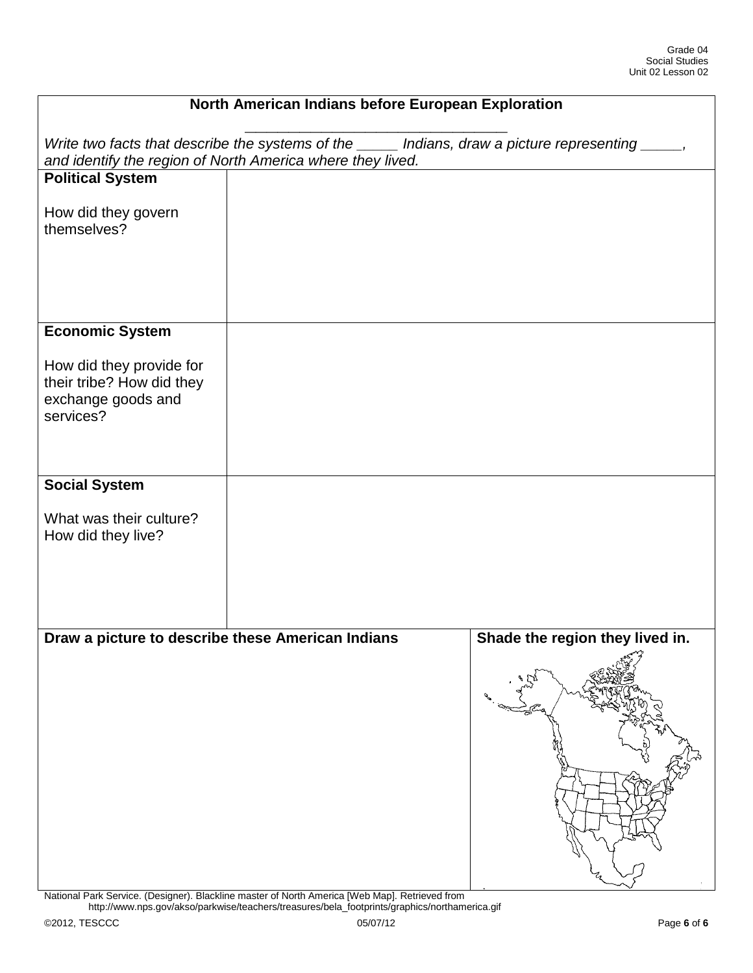| North American Indians before European Exploration                                                                                                               |  |                                 |
|------------------------------------------------------------------------------------------------------------------------------------------------------------------|--|---------------------------------|
| Write two facts that describe the systems of the _____ Indians, draw a picture representing _____,<br>and identify the region of North America where they lived. |  |                                 |
| <b>Political System</b>                                                                                                                                          |  |                                 |
| How did they govern<br>themselves?                                                                                                                               |  |                                 |
| <b>Economic System</b>                                                                                                                                           |  |                                 |
| How did they provide for<br>their tribe? How did they<br>exchange goods and<br>services?                                                                         |  |                                 |
| <b>Social System</b>                                                                                                                                             |  |                                 |
| What was their culture?<br>How did they live?                                                                                                                    |  |                                 |
| Draw a picture to describe these American Indians                                                                                                                |  | Shade the region they lived in. |
|                                                                                                                                                                  |  |                                 |

National Park Service. (Designer). Blackline master of North America [Web Map]. Retrieved from http://www.nps.gov/akso/parkwise/teachers/treasures/bela\_footprints/graphics/northamerica.gif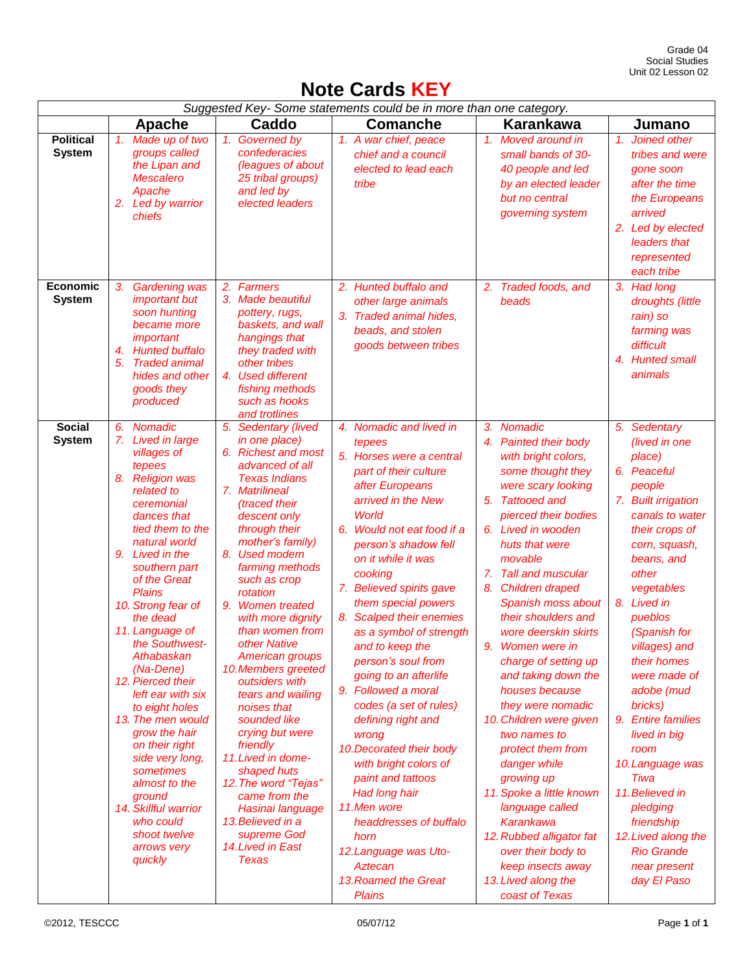## **Note Cards KEY**

| Suggested Key-Some statements could be in more than one category. |                                                                                                                                                                                                                                                                                                                                                                                                                                                                                                                                                                                              |                                                                                                                                                                                                                                                                                                                                                                                                                                                                                                                                                                                                                                                                |                                                                                                                                                                                                                                                                                                                                                                                                                                                                                                                                                                                                                                                                                                                             |                                                                                                                                                                                                                                                                                                                                                                                                                                                                                                                                                                                                                                                                                                               |                                                                                                                                                                                                                                                                                                                                                                                                                                                                                                         |
|-------------------------------------------------------------------|----------------------------------------------------------------------------------------------------------------------------------------------------------------------------------------------------------------------------------------------------------------------------------------------------------------------------------------------------------------------------------------------------------------------------------------------------------------------------------------------------------------------------------------------------------------------------------------------|----------------------------------------------------------------------------------------------------------------------------------------------------------------------------------------------------------------------------------------------------------------------------------------------------------------------------------------------------------------------------------------------------------------------------------------------------------------------------------------------------------------------------------------------------------------------------------------------------------------------------------------------------------------|-----------------------------------------------------------------------------------------------------------------------------------------------------------------------------------------------------------------------------------------------------------------------------------------------------------------------------------------------------------------------------------------------------------------------------------------------------------------------------------------------------------------------------------------------------------------------------------------------------------------------------------------------------------------------------------------------------------------------------|---------------------------------------------------------------------------------------------------------------------------------------------------------------------------------------------------------------------------------------------------------------------------------------------------------------------------------------------------------------------------------------------------------------------------------------------------------------------------------------------------------------------------------------------------------------------------------------------------------------------------------------------------------------------------------------------------------------|---------------------------------------------------------------------------------------------------------------------------------------------------------------------------------------------------------------------------------------------------------------------------------------------------------------------------------------------------------------------------------------------------------------------------------------------------------------------------------------------------------|
|                                                                   | Apache                                                                                                                                                                                                                                                                                                                                                                                                                                                                                                                                                                                       | Caddo                                                                                                                                                                                                                                                                                                                                                                                                                                                                                                                                                                                                                                                          | <b>Comanche</b>                                                                                                                                                                                                                                                                                                                                                                                                                                                                                                                                                                                                                                                                                                             | <b>Karankawa</b>                                                                                                                                                                                                                                                                                                                                                                                                                                                                                                                                                                                                                                                                                              | Jumano                                                                                                                                                                                                                                                                                                                                                                                                                                                                                                  |
| Political<br><b>System</b>                                        | 1.<br>Made up of two<br>groups called<br>the Lipan and<br><b>Mescalero</b><br>Apache<br>2. Led by warrior<br>chiefs                                                                                                                                                                                                                                                                                                                                                                                                                                                                          | 1. Governed by<br>confederacies<br>(leagues of about<br>25 tribal groups)<br>and led by<br>elected leaders                                                                                                                                                                                                                                                                                                                                                                                                                                                                                                                                                     | 1. A war chief, peace<br>chief and a council<br>elected to lead each<br>tribe                                                                                                                                                                                                                                                                                                                                                                                                                                                                                                                                                                                                                                               | 1. Moved around in<br>small bands of 30-<br>40 people and led<br>by an elected leader<br>but no central<br>governing system                                                                                                                                                                                                                                                                                                                                                                                                                                                                                                                                                                                   | Joined other<br>1.<br>tribes and were<br>gone soon<br>after the time<br>the Europeans<br>arrived<br>2. Led by elected<br>leaders that<br>represented<br>each tribe                                                                                                                                                                                                                                                                                                                                      |
| Economic<br><b>System</b>                                         | 3.<br><b>Gardening was</b><br>important but<br>soon hunting<br>became more<br>important<br><b>Hunted buffalo</b><br>4.<br>5.<br><b>Traded animal</b><br>hides and other<br>goods they<br>produced                                                                                                                                                                                                                                                                                                                                                                                            | 2. Farmers<br>3. Made beautiful<br>pottery, rugs,<br>baskets, and wall<br>hangings that<br>they traded with<br>other tribes<br>4. Used different<br>fishing methods<br>such as hooks<br>and trotlines                                                                                                                                                                                                                                                                                                                                                                                                                                                          | 2. Hunted buffalo and<br>other large animals<br>3. Traded animal hides,<br>beads, and stolen<br>goods between tribes                                                                                                                                                                                                                                                                                                                                                                                                                                                                                                                                                                                                        | 2. Traded foods, and<br>beads                                                                                                                                                                                                                                                                                                                                                                                                                                                                                                                                                                                                                                                                                 | 3. Had long<br>droughts (little<br>rain) so<br>farming was<br>difficult<br>4. Hunted small<br>animals                                                                                                                                                                                                                                                                                                                                                                                                   |
| <b>Social</b><br><b>System</b>                                    | Nomadic<br>6.<br>7. Lived in large<br>villages of<br>tepees<br>8. Religion was<br>related to<br>ceremonial<br>dances that<br>tied them to the<br>natural world<br>9. Lived in the<br>southern part<br>of the Great<br>Plains<br>10. Strong fear of<br>the dead<br>11. Language of<br>the Southwest-<br>Athabaskan<br>(Na-Dene)<br>12. Pierced their<br>left ear with six<br>to eight holes<br>13. The men would<br>grow the hair<br>on their right<br>side very long,<br>sometimes<br>almost to the<br>ground<br>14. Skillful warrior<br>who could<br>shoot twelve<br>arrows very<br>quickly | 5. Sedentary (lived<br>in one place)<br>6. Richest and most<br>advanced of all<br><b>Texas Indians</b><br>7. Matrilineal<br>(traced their<br>descent only<br>through their<br>mother's family)<br>8. Used modern<br>farming methods<br>such as crop<br>rotation<br>9. Women treated<br>with more dignity<br>than women from<br>other Native<br>American groups<br>10. Members greeted<br>outsiders with<br>tears and wailing<br>noises that<br>sounded like<br>crying but were<br>friendly<br>11. Lived in dome-<br>shaped huts<br>12. The word "Tejas"<br>came from the<br>Hasinai language<br>13. Believed in a<br>supreme God<br>14. Lived in East<br>Texas | 4. Nomadic and lived in<br>tepees<br>5. Horses were a central<br>part of their culture<br>after Europeans<br>arrived in the New<br><b>World</b><br>6. Would not eat food if a<br>person's shadow fell<br>on it while it was<br>cooking<br>7. Believed spirits gave<br>them special powers<br>8. Scalped their enemies<br>as a symbol of strength<br>and to keep the<br>person's soul from<br>going to an afterlife<br>9. Followed a moral<br>codes (a set of rules)<br>defining right and<br>wrong<br>10. Decorated their body<br>with bright colors of<br>paint and tattoos<br>Had long hair<br>11.Men wore<br>headdresses of buffalo<br>horn<br>12. Language was Uto-<br>Aztecan<br>13. Roamed the Great<br><b>Plains</b> | 3. Nomadic<br>4. Painted their body<br>with bright colors,<br>some thought they<br>were scary looking<br>5. Tattooed and<br>pierced their bodies<br>6. Lived in wooden<br>huts that were<br>movable<br>7. Tall and muscular<br>8. Children draped<br>Spanish moss about<br>their shoulders and<br>wore deerskin skirts<br>9.<br>Women were in<br>charge of setting up<br>and taking down the<br>houses because<br>they were nomadic<br>10. Children were given<br>two names to<br>protect them from<br>danger while<br>growing up<br>11. Spoke a little known<br>language called<br>Karankawa<br>12. Rubbed alligator fat<br>over their body to<br>keep insects away<br>13. Lived along the<br>coast of Texas | 5. Sedentary<br>(lived in one<br>place)<br>6. Peaceful<br>people<br>7. Built irrigation<br>canals to water<br>their crops of<br>corn, squash,<br>beans, and<br>other<br>vegetables<br>8. Lived in<br>pueblos<br>(Spanish for<br>villages) and<br>their homes<br>were made of<br>adobe (mud<br>bricks)<br>9. Entire families<br>lived in big<br>room<br>10. Language was<br>Tiwa<br>11. Believed in<br>pledging<br>friendship<br>12. Lived along the<br><b>Rio Grande</b><br>near present<br>day El Paso |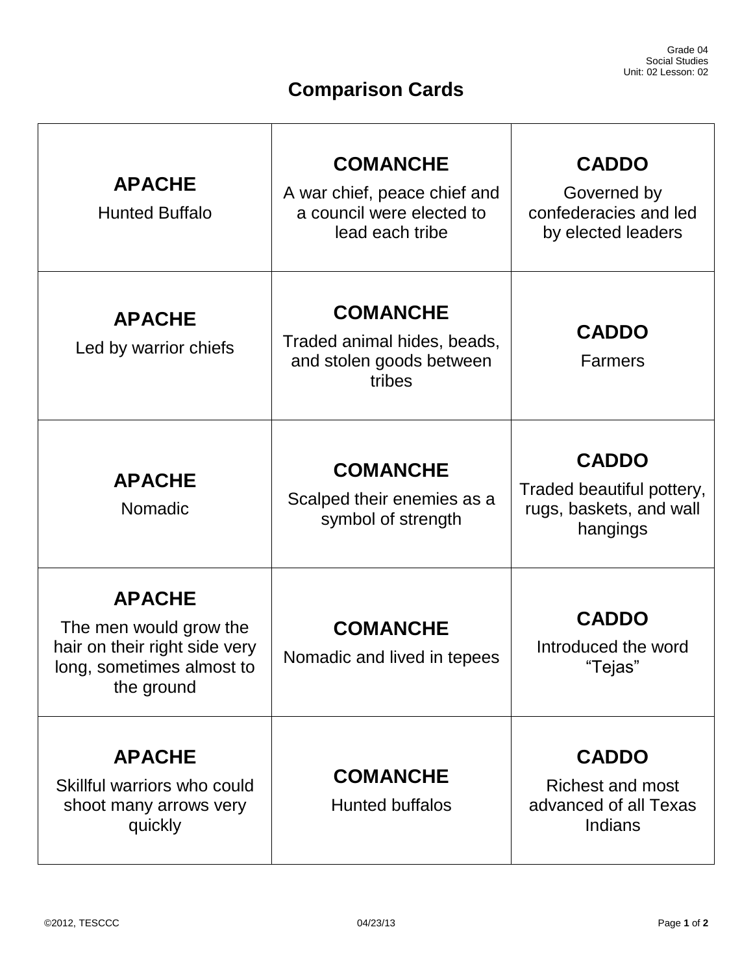# **Comparison Cards**

| <b>APACHE</b><br><b>Hunted Buffalo</b>                                                                              | <b>COMANCHE</b><br>A war chief, peace chief and<br>a council were elected to<br>lead each tribe | <b>CADDO</b><br>Governed by<br>confederacies and led<br>by elected leaders       |
|---------------------------------------------------------------------------------------------------------------------|-------------------------------------------------------------------------------------------------|----------------------------------------------------------------------------------|
| <b>APACHE</b><br>Led by warrior chiefs                                                                              | <b>COMANCHE</b><br>Traded animal hides, beads,<br>and stolen goods between<br>tribes            | <b>CADDO</b><br><b>Farmers</b>                                                   |
| <b>APACHE</b><br>Nomadic                                                                                            | <b>COMANCHE</b><br>Scalped their enemies as a<br>symbol of strength                             | <b>CADDO</b><br>Traded beautiful pottery,<br>rugs, baskets, and wall<br>hangings |
| <b>APACHE</b><br>The men would grow the<br>hair on their right side very<br>long, sometimes almost to<br>the ground | <b>COMANCHE</b><br>Nomadic and lived in tepees                                                  | <b>CADDO</b><br>Introduced the word<br>"Tejas"                                   |
| <b>APACHE</b><br>Skillful warriors who could<br>shoot many arrows very<br>quickly                                   | <b>COMANCHE</b><br><b>Hunted buffalos</b>                                                       | <b>CADDO</b><br><b>Richest and most</b><br>advanced of all Texas<br>Indians      |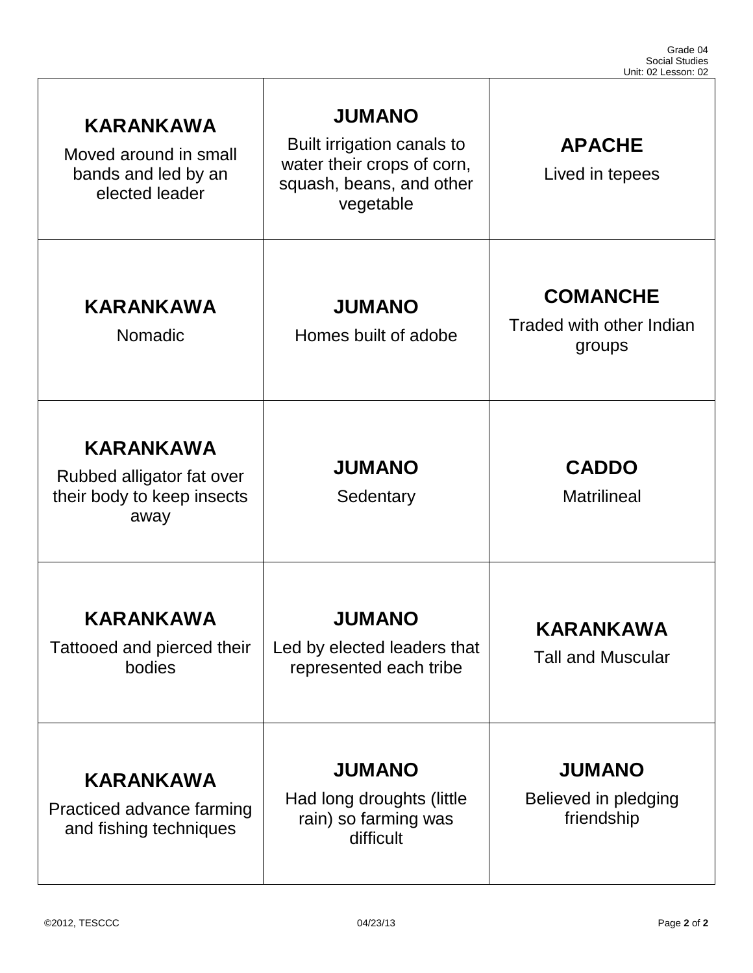| <b>KARANKAWA</b><br>Moved around in small<br>bands and led by an<br>elected leader  | <b>JUMANO</b><br>Built irrigation canals to<br>water their crops of corn,<br>squash, beans, and other<br>vegetable | <b>APACHE</b><br>Lived in tepees                      |
|-------------------------------------------------------------------------------------|--------------------------------------------------------------------------------------------------------------------|-------------------------------------------------------|
| <b>KARANKAWA</b><br>Nomadic                                                         | <b>JUMANO</b><br>Homes built of adobe                                                                              | <b>COMANCHE</b><br>Traded with other Indian<br>groups |
| <b>KARANKAWA</b><br>Rubbed alligator fat over<br>their body to keep insects<br>away | <b>JUMANO</b><br>Sedentary                                                                                         | <b>CADDO</b><br><b>Matrilineal</b>                    |
| <b>KARANKAWA</b><br>Tattooed and pierced their<br>bodies                            | <b>JUMANO</b><br>Led by elected leaders that<br>represented each tribe                                             | KARANKAWA<br><b>Tall and Muscular</b>                 |
| <b>KARANKAWA</b><br>Practiced advance farming<br>and fishing techniques             | <b>JUMANO</b><br>Had long droughts (little<br>rain) so farming was<br>difficult                                    | <b>JUMANO</b><br>Believed in pledging<br>friendship   |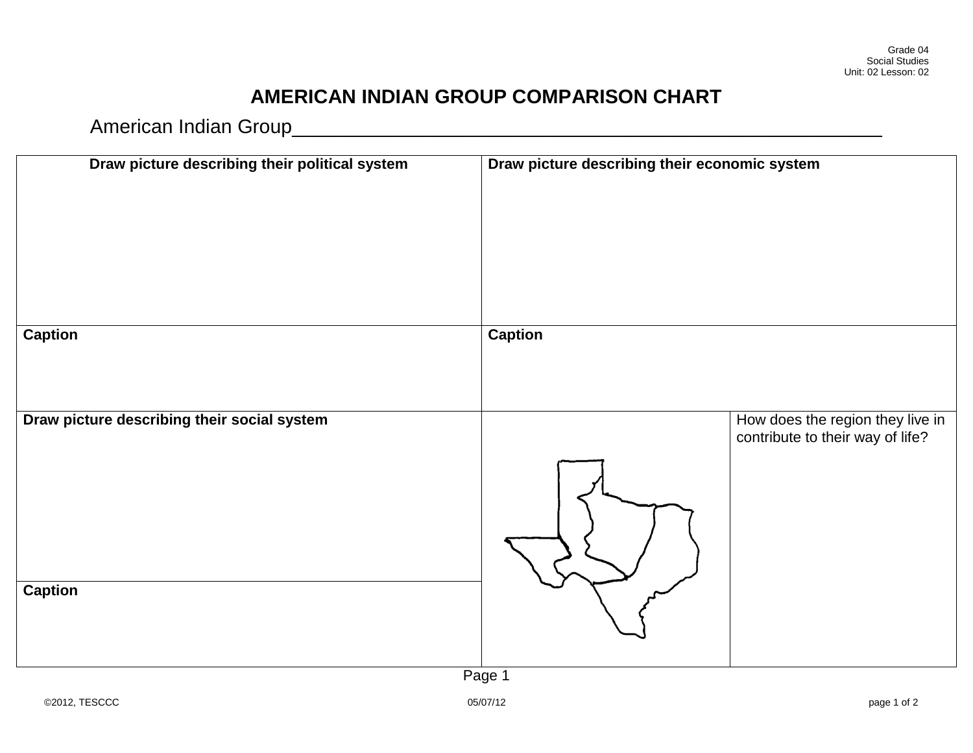## **AMERICAN INDIAN GROUP COMPARISON CHART**

American Indian Group\_\_\_\_\_\_\_\_\_\_\_\_\_\_\_\_\_\_\_\_\_\_\_\_\_\_\_\_\_\_\_\_\_\_\_\_\_\_\_\_\_\_\_\_\_\_\_\_\_\_\_\_\_\_

| Draw picture describing their political system | Draw picture describing their economic system |                                                                      |
|------------------------------------------------|-----------------------------------------------|----------------------------------------------------------------------|
| <b>Caption</b>                                 | <b>Caption</b>                                |                                                                      |
| Draw picture describing their social system    |                                               | How does the region they live in<br>contribute to their way of life? |
| <b>Caption</b>                                 | Page 1                                        |                                                                      |